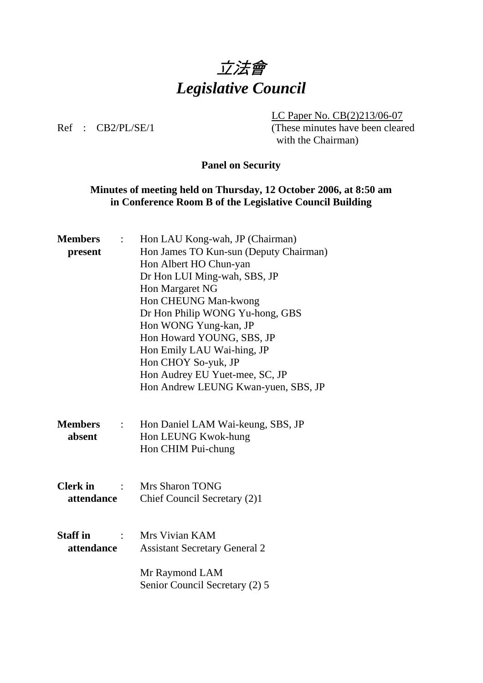

 LC Paper No. CB(2)213/06-07 Ref : CB2/PL/SE/1 (These minutes have been cleared with the Chairman)

# **Panel on Security**

# **Minutes of meeting held on Thursday, 12 October 2006, at 8:50 am in Conference Room B of the Legislative Council Building**

| <b>Members</b>                              | Hon LAU Kong-wah, JP (Chairman)        |
|---------------------------------------------|----------------------------------------|
| present                                     | Hon James TO Kun-sun (Deputy Chairman) |
|                                             | Hon Albert HO Chun-yan                 |
|                                             | Dr Hon LUI Ming-wah, SBS, JP           |
|                                             | Hon Margaret NG                        |
|                                             | Hon CHEUNG Man-kwong                   |
|                                             | Dr Hon Philip WONG Yu-hong, GBS        |
|                                             | Hon WONG Yung-kan, JP                  |
|                                             | Hon Howard YOUNG, SBS, JP              |
|                                             | Hon Emily LAU Wai-hing, JP             |
|                                             | Hon CHOY So-yuk, JP                    |
|                                             | Hon Audrey EU Yuet-mee, SC, JP         |
|                                             | Hon Andrew LEUNG Kwan-yuen, SBS, JP    |
|                                             |                                        |
|                                             |                                        |
| <b>Members</b><br>$\mathbb{R}^{\mathbb{Z}}$ | Hon Daniel LAM Wai-keung, SBS, JP      |
| absent                                      | Hon LEUNG Kwok-hung                    |
|                                             | Hon CHIM Pui-chung                     |
|                                             |                                        |
|                                             |                                        |
| <b>Clerk</b> in                             | <b>Mrs Sharon TONG</b>                 |
| attendance                                  | Chief Council Secretary (2)1           |
|                                             |                                        |
|                                             |                                        |
| <b>Staff</b> in                             | Mrs Vivian KAM                         |
| attendance                                  | <b>Assistant Secretary General 2</b>   |
|                                             |                                        |
|                                             | Mr Raymond LAM                         |
|                                             | Senior Council Secretary (2) 5         |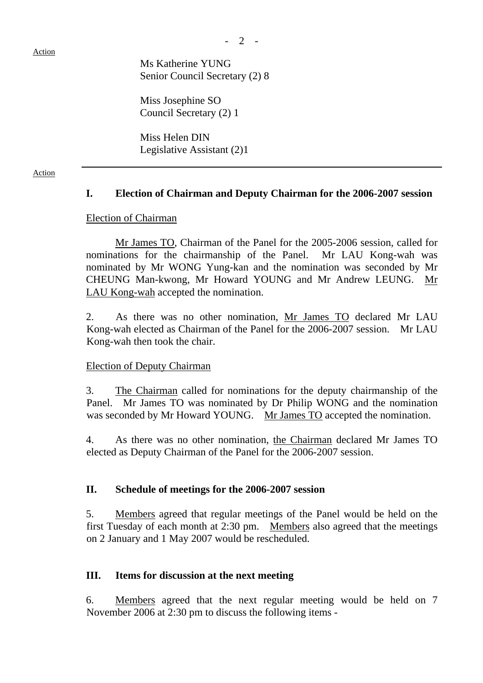Action

 Ms Katherine YUNG Senior Council Secretary (2) 8

 Miss Josephine SO Council Secretary (2) 1

 Miss Helen DIN Legislative Assistant (2)1

#### Action

# **I. Election of Chairman and Deputy Chairman for the 2006-2007 session**

#### Election of Chairman

 Mr James TO, Chairman of the Panel for the 2005-2006 session, called for nominations for the chairmanship of the Panel. Mr LAU Kong-wah was nominated by Mr WONG Yung-kan and the nomination was seconded by Mr CHEUNG Man-kwong, Mr Howard YOUNG and Mr Andrew LEUNG. LAU Kong-wah accepted the nomination.

 2. As there was no other nomination, Mr James TO declared Mr LAU Kong-wah elected as Chairman of the Panel for the 2006-2007 session. Mr LAU Kong-wah then took the chair.

#### Election of Deputy Chairman

 3. The Chairman called for nominations for the deputy chairmanship of the Panel. Mr James TO was nominated by Dr Philip WONG and the nomination was seconded by Mr Howard YOUNG. Mr James TO accepted the nomination.

 4. As there was no other nomination, the Chairman declared Mr James TO elected as Deputy Chairman of the Panel for the 2006-2007 session.

# **II. Schedule of meetings for the 2006-2007 session**

 5. Members agreed that regular meetings of the Panel would be held on the first Tuesday of each month at 2:30 pm. Members also agreed that the meetings on 2 January and 1 May 2007 would be rescheduled.

#### **III. Items for discussion at the next meeting**

 6. Members agreed that the next regular meeting would be held on 7 November 2006 at 2:30 pm to discuss the following items -